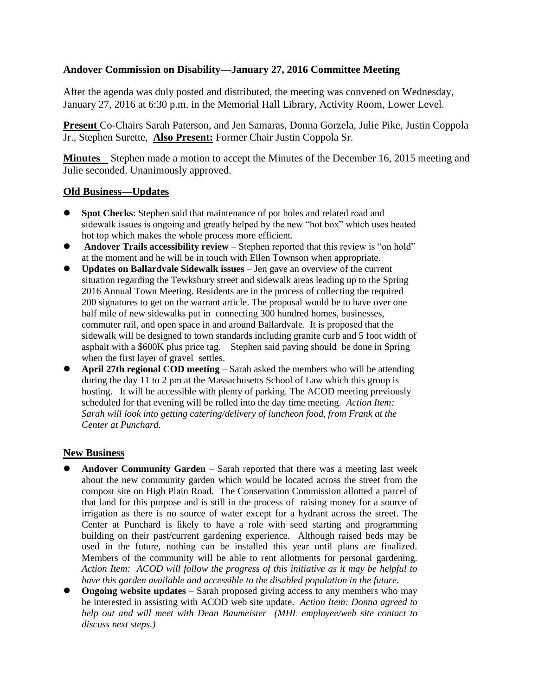# **Andover Commission on Disability—January 27, 2016 Committee Meeting**

After the agenda was duly posted and distributed, the meeting was convened on Wednesday, January 27, 2016 at 6:30 p.m. in the Memorial Hall Library, Activity Room, Lower Level.

**Present** Co-Chairs Sarah Paterson, and Jen Samaras, Donna Gorzela, Julie Pike, Justin Coppola Jr., Stephen Surette, **Also Present:** Former Chair Justin Coppola Sr.

**Minutes** Stephen made a motion to accept the Minutes of the December 16, 2015 meeting and Julie seconded. Unanimously approved.

## **Old Business—Updates**

- **Spot Checks:** Stephen said that maintenance of pot holes and related road and sidewalk issues is ongoing and greatly helped by the new "hot box" which uses heated hot top which makes the whole process more efficient.
- **Andover Trails accessibility review** Stephen reported that this review is "on hold" at the moment and he will be in touch with Ellen Townson when appropriate.
- **Updates on Ballardvale Sidewalk issues** Jen gave an overview of the current situation regarding the Tewksbury street and sidewalk areas leading up to the Spring 2016 Annual Town Meeting. Residents are in the process of collecting the required 200 signatures to get on the warrant article. The proposal would be to have over one half mile of new sidewalks put in connecting 300 hundred homes, businesses, commuter rail, and open space in and around Ballardvale. It is proposed that the sidewalk will be designed to town standards including granite curb and 5 foot width of asphalt with a \$600K plus price tag. Stephen said paving should be done in Spring when the first layer of gravel settles.
- **April 27th regional COD meeting**  Sarah asked the members who will be attending during the day 11 to 2 pm at the Massachusetts School of Law which this group is hosting. It will be accessible with plenty of parking. The ACOD meeting previously scheduled for that evening will be rolled into the day time meeting. *Action Item: Sarah will look into getting catering/delivery of luncheon food, from Frank at the Center at Punchard.*

## **New Business**

- **Andover Community Garden** Sarah reported that there was a meeting last week about the new community garden which would be located across the street from the compost site on High Plain Road. The Conservation Commission allotted a parcel of that land for this purpose and is still in the process of raising money for a source of irrigation as there is no source of water except for a hydrant across the street. The Center at Punchard is likely to have a role with seed starting and programming building on their past/current gardening experience. Although raised beds may be used in the future, nothing can be installed this year until plans are finalized. Members of the community will be able to rent allotments for personal gardening. *Action Item: ACOD will follow the progress of this initiative as it may be helpful to have this garden available and accessible to the disabled population in the future.*
- **Ongoing website updates** Sarah proposed giving access to any members who may be interested in assisting with ACOD web site update. *Action Item: Donna agreed to help out and will meet with Dean Baumeister (MHL employee/web site contact to discuss next steps.)*